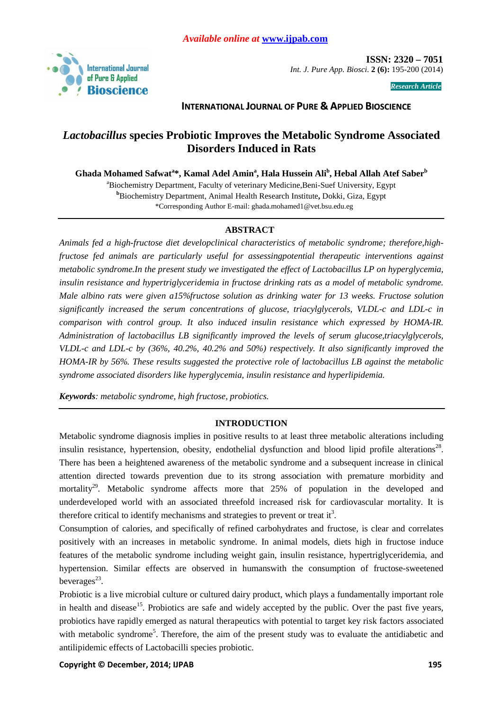

 **ISSN: 2320 – 7051**  *Int. J. Pure App. Biosci.* **2 (6):** 195-200 (2014)

*Research Article* 

# **INTERNATIONAL JOURNAL OF PURE & APPLIED BIOSCIENCE**

# *Lactobacillus* **species Probiotic Improves the Metabolic Syndrome Associated Disorders Induced in Rats**

**Ghada Mohamed Safwat<sup>a</sup> \*, Kamal Adel Amin<sup>a</sup> , Hala Hussein Ali<sup>b</sup> , Hebal Allah Atef Saber<sup>b</sup>**

<sup>a</sup>Biochemistry Department, Faculty of veterinary Medicine, Beni-Suef University, Egypt **<sup>b</sup>**Biochemistry Department, Animal Health Research Institute**,** Dokki, Giza, Egypt \*Corresponding Author E-mail: ghada.mohamed1@vet.bsu.edu.eg

# **ABSTRACT**

*Animals fed a high-fructose diet developclinical characteristics of metabolic syndrome; therefore,highfructose fed animals are particularly useful for assessingpotential therapeutic interventions against metabolic syndrome.In the present study we investigated the effect of Lactobacillus LP on hyperglycemia, insulin resistance and hypertriglyceridemia in fructose drinking rats as a model of metabolic syndrome. Male albino rats were given a15%fructose solution as drinking water for 13 weeks. Fructose solution significantly increased the serum concentrations of glucose, triacylglycerols, VLDL-c and LDL-c in comparison with control group. It also induced insulin resistance which expressed by HOMA-IR. Administration of lactobacillus LB significantly improved the levels of serum glucose,triacylglycerols, VLDL-c and LDL-c by (36%, 40.2%, 40.2% and 50%) respectively. It also significantly improved the HOMA-IR by 56%. These results suggested the protective role of lactobacillus LB against the metabolic syndrome associated disorders like hyperglycemia, insulin resistance and hyperlipidemia.*

*Keywords: metabolic syndrome, high fructose, probiotics.*

## **INTRODUCTION**

Metabolic syndrome diagnosis implies in positive results to at least three metabolic alterations including insulin resistance, hypertension, obesity, endothelial dysfunction and blood lipid profile alterations<sup>28</sup>. There has been a heightened awareness of the metabolic syndrome and a subsequent increase in clinical attention directed towards prevention due to its strong association with premature morbidity and mortality<sup>29</sup>. Metabolic syndrome affects more that 25% of population in the developed and underdeveloped world with an associated threefold increased risk for cardiovascular mortality. It is therefore critical to identify mechanisms and strategies to prevent or treat it<sup>3</sup>.

Consumption of calories, and specifically of refined carbohydrates and fructose, is clear and correlates positively with an increases in metabolic syndrome. In animal models, diets high in fructose induce features of the metabolic syndrome including weight gain, insulin resistance, hypertriglyceridemia, and hypertension. Similar effects are observed in humanswith the consumption of fructose-sweetened beverages<sup>23</sup>.

Probiotic is a live microbial culture or cultured dairy product, which plays a fundamentally important role in health and disease<sup>15</sup>. Probiotics are safe and widely accepted by the public. Over the past five years, probiotics have rapidly emerged as natural therapeutics with potential to target key risk factors associated with metabolic syndrome<sup>5</sup>. Therefore, the aim of the present study was to evaluate the antidiabetic and antilipidemic effects of Lactobacilli species probiotic.

**Copyright © December, 2014; IJPAB 195 <b>196** 195 **196** 195 **196** 196 **197** 198 **198** 199 **198** 199 **198** 199 **199** 199 **199** 199 **199** 199 **199** 199 **199** 199 **199** 199 **199** 199 **199** 199 **199** 199 **199** 199 **199** 199 **19**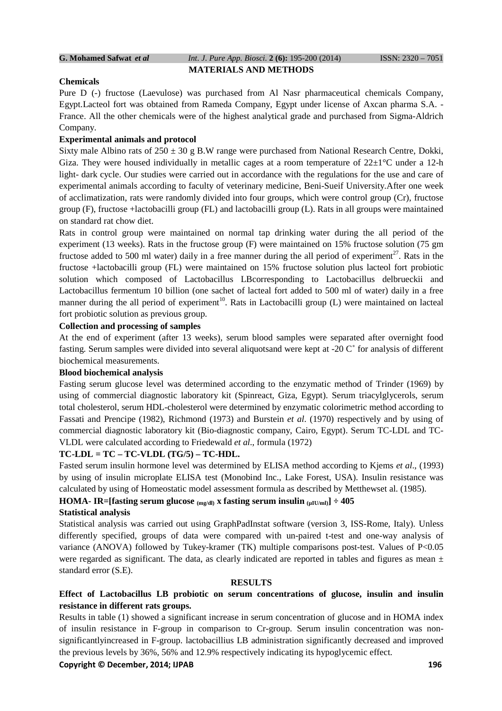#### **G. Mohamed Safwat** *et al Int. J. Pure App. Biosci.* **2 (6):** 195-200 (2014) ISSN: 2320 – 7051 **MATERIALS AND METHODS**

#### **Chemicals**

Pure D (-) fructose (Laevulose) was purchased from Al Nasr pharmaceutical chemicals Company, Egypt.Lacteol fort was obtained from Rameda Company, Egypt under license of Axcan pharma S.A. - France. All the other chemicals were of the highest analytical grade and purchased from Sigma-Aldrich Company.

## **Experimental animals and protocol**

Sixty male Albino rats of  $250 \pm 30$  g B.W range were purchased from National Research Centre, Dokki, Giza. They were housed individually in metallic cages at a room temperature of  $22\pm1^{\circ}$ C under a 12-h light- dark cycle. Our studies were carried out in accordance with the regulations for the use and care of experimental animals according to faculty of veterinary medicine, Beni-Sueif University.After one week of acclimatization, rats were randomly divided into four groups, which were control group (Cr), fructose group (F), fructose +lactobacilli group (FL) and lactobacilli group (L). Rats in all groups were maintained on standard rat chow diet.

Rats in control group were maintained on normal tap drinking water during the all period of the experiment (13 weeks). Rats in the fructose group (F) were maintained on 15% fructose solution (75 gm fructose added to 500 ml water) daily in a free manner during the all period of experiment<sup>27</sup>. Rats in the fructose +lactobacilli group (FL) were maintained on 15% fructose solution plus lacteol fort probiotic solution which composed of Lactobacillus LBcorresponding to Lactobacillus delbrueckii and Lactobacillus fermentum 10 billion (one sachet of lacteal fort added to 500 ml of water) daily in a free manner during the all period of experiment<sup>10</sup>. Rats in Lactobacilli group  $(L)$  were maintained on lacteal fort probiotic solution as previous group.

#### **Collection and processing of samples**

At the end of experiment (after 13 weeks), serum blood samples were separated after overnight food fasting. Serum samples were divided into several aliquotsand were kept at -20 C˚ for analysis of different biochemical measurements.

#### **Blood biochemical analysis**

Fasting serum glucose level was determined according to the enzymatic method of Trinder (1969) by using of commercial diagnostic laboratory kit (Spinreact, Giza, Egypt). Serum triacylglycerols, serum total cholesterol, serum HDL-cholesterol were determined by enzymatic colorimetric method according to Fassati and Prencipe (1982), Richmond (1973) and Burstein *et al*. (1970) respectively and by using of commercial diagnostic laboratory kit (Bio-diagnostic company, Cairo, Egypt). Serum TC-LDL and TC-VLDL were calculated according to Friedewald *et al*., formula (1972)

## **TC-LDL = TC – TC-VLDL (TG/5) – TC-HDL.**

Fasted serum insulin hormone level was determined by ELISA method according to Kjems *et al*., (1993) by using of insulin microplate ELISA test (Monobind Inc., Lake Forest, USA). Insulin resistance was calculated by using of Homeostatic model assessment formula as described by Metthewset al. (1985).

# **HOMA- IR=[fasting serum glucose**  $_{(mg/dl)}$ **x** fasting serum insulin  $_{(\mu IU/ml)}$ ] ÷ 405

## **Statistical analysis**

Statistical analysis was carried out using GraphPadInstat software (version 3, ISS-Rome, Italy). Unless differently specified, groups of data were compared with un-paired t-test and one-way analysis of variance (ANOVA) followed by Tukey-kramer (TK) multiple comparisons post-test. Values of P<0.05 were regarded as significant. The data, as clearly indicated are reported in tables and figures as mean  $\pm$ standard error (S.E).

#### **RESULTS**

# **Effect of Lactobacillus LB probiotic on serum concentrations of glucose, insulin and insulin resistance in different rats groups.**

Results in table (1) showed a significant increase in serum concentration of glucose and in HOMA index of insulin resistance in F-group in comparison to Cr-group. Serum insulin concentration was nonsignificantlyincreased in F-group. lactobacillius LB administration significantly decreased and improved the previous levels by 36%, 56% and 12.9% respectively indicating its hypoglycemic effect.

## **Copyright © December, 2014; IJPAB 196**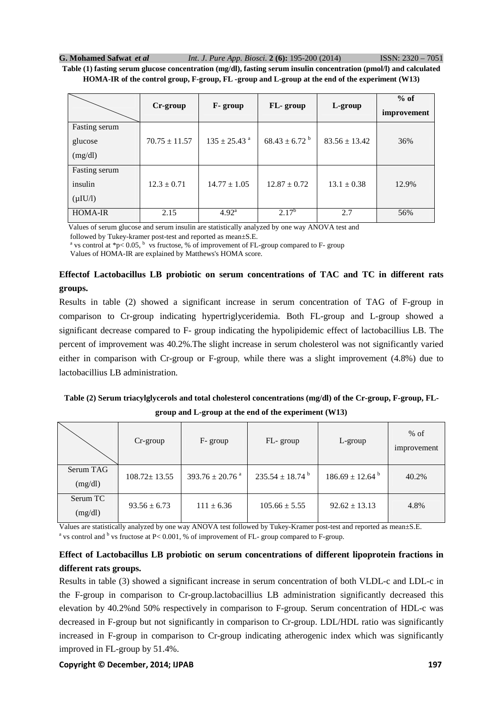**G. Mohamed Safwat** *et al Int. J. Pure App. Biosci.* **2 (6):** 195-200 (2014) ISSN: 2320 – 7051

**Table (1) fasting serum glucose concentration (mg/dl), fasting serum insulin concentration (pmol/l) and calculated HOMA-IR of the control group, F-group, FL -group and L-group at the end of the experiment (W13)** 

|                                           | Cr-group          | F- group                     | FL-group                    | L-group           | $%$ of<br>improvement |
|-------------------------------------------|-------------------|------------------------------|-----------------------------|-------------------|-----------------------|
| Fasting serum<br>glucose<br>(mg/dl)       | $70.75 \pm 11.57$ | $135 \pm 25.43$ <sup>a</sup> | $68.43 \pm 6.72^{\text{b}}$ | $83.56 \pm 13.42$ | 36%                   |
| Fasting serum<br>insulin<br>$(\mu I U/l)$ | $12.3 \pm 0.71$   | $14.77 \pm 1.05$             | $12.87 \pm 0.72$            | $13.1 \pm 0.38$   | 12.9%                 |
| <b>HOMA-IR</b>                            | 2.15              | $4.92^{\rm a}$               | $2.17^{b}$                  | 2.7               | 56%                   |

Values of serum glucose and serum insulin are statistically analyzed by one way ANOVA test and

followed by Tukey-kramer post-test and reported as mean±S.E.

<sup>a</sup> vs control at \*p< 0.05, <sup>b</sup> vs fructose, % of improvement of FL-group compared to F- group

Values of HOMA-IR are explained by Matthews's HOMA score.

# **Effectof Lactobacillus LB probiotic on serum concentrations of TAC and TC in different rats groups.**

Results in table (2) showed a significant increase in serum concentration of TAG of F-group in comparison to Cr-group indicating hypertriglyceridemia. Both FL-group and L-group showed a significant decrease compared to F- group indicating the hypolipidemic effect of lactobacillius LB. The percent of improvement was 40.2%.The slight increase in serum cholesterol was not significantly varied either in comparison with Cr-group or F-group, while there was a slight improvement (4.8%) due to lactobacillius LB administration.

# **Table (2) Serum triacylglycerols and total cholesterol concentrations (mg/dl) of the Cr-group, F-group, FLgroup and L-group at the end of the experiment (W13)**

|                      | $Cr$ -group        | F- group                        | FL-group                      | L-group                       | $%$ of<br>improvement |
|----------------------|--------------------|---------------------------------|-------------------------------|-------------------------------|-----------------------|
| Serum TAG<br>(mg/dl) | $108.72 \pm 13.55$ | $393.76 \pm 20.76$ <sup>a</sup> | $235.54 \pm 18.74^{\text{b}}$ | $186.69 \pm 12.64^{\text{b}}$ | 40.2%                 |
| Serum TC<br>(mg/dl)  | $93.56 \pm 6.73$   | $111 \pm 6.36$                  | $105.66 \pm 5.55$             | $92.62 \pm 13.13$             | 4.8%                  |

Values are statistically analyzed by one way ANOVA test followed by Tukey-Kramer post-test and reported as mean±S.E. <sup>a</sup> vs control and <sup>b</sup> vs fructose at P< 0.001, % of improvement of FL- group compared to F-group.

# **Effect of Lactobacillus LB probiotic on serum concentrations of different lipoprotein fractions in different rats groups.**

Results in table (3) showed a significant increase in serum concentration of both VLDL-c and LDL-c in the F-group in comparison to Cr-group.lactobacillius LB administration significantly decreased this elevation by 40.2%nd 50% respectively in comparison to F-group. Serum concentration of HDL-c was decreased in F-group but not significantly in comparison to Cr-group. LDL/HDL ratio was significantly increased in F-group in comparison to Cr-group indicating atherogenic index which was significantly improved in FL-group by 51.4%.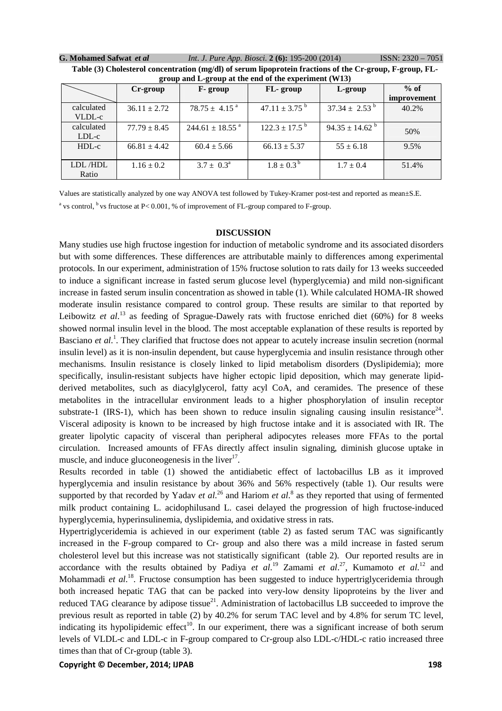| G. Mohamed Safwat et al | <i>Int. J. Pure App. Biosci.</i> 2 (6): 195-200 (2014)                                                                                                                                                   | $ISSN: 2320 - 7051$ |
|-------------------------|----------------------------------------------------------------------------------------------------------------------------------------------------------------------------------------------------------|---------------------|
|                         | $\mathbf{m}$ . Let $\mathbf{m}$ be a set of the set of $\mathbf{m}$ . All $\mathbf{m}$ is the set of $\mathbf{m}$ , and $\mathbf{m}$ and $\mathbf{m}$ and $\mathbf{m}$ and $\mathbf{m}$ and $\mathbf{m}$ |                     |

| group and L-group at the end of the experiment (wild) |                  |                                 |                               |                           |             |
|-------------------------------------------------------|------------------|---------------------------------|-------------------------------|---------------------------|-------------|
|                                                       | Cr-group         | F-group                         | FL-group                      | L-group                   | $%$ of      |
|                                                       |                  |                                 |                               |                           | improvement |
| calculated                                            | $36.11 \pm 2.72$ | $78.75 \pm 4.15$ <sup>a</sup>   | 47.11 $\pm$ 3.75 <sup>b</sup> | $37.34 \pm 2.53^{\circ}$  | 40.2%       |
| VLDL-c                                                |                  |                                 |                               |                           |             |
| calculated                                            | $77.79 \pm 8.45$ | $244.61 \pm 18.55$ <sup>a</sup> | $122.3 \pm 17.5$ <sup>b</sup> | $94.35 \pm 14.62^{\circ}$ | 50%         |
| LDL-c                                                 |                  |                                 |                               |                           |             |
| HDL-c                                                 | $66.81 \pm 4.42$ | $60.4 \pm 5.66$                 | $66.13 \pm 5.37$              | $55 \pm 6.18$             | 9.5%        |
|                                                       |                  |                                 |                               |                           |             |
| LDL/HDL                                               | $1.16 \pm 0.2$   | $3.7 \pm 0.3^{\circ}$           | $1.8 \pm 0.3^{\circ}$         | $1.7 \pm 0.4$             | 51.4%       |
| Ratio                                                 |                  |                                 |                               |                           |             |

**Table (3) Cholesterol concentration (mg/dl) of serum lipoprotein fractions of the Cr-group, F-group, FLgroup and L-group at the end of the experiment (W13)** 

Values are statistically analyzed by one way ANOVA test followed by Tukey-Kramer post-test and reported as mean±S.E. <sup>a</sup> vs control, <sup>b</sup> vs fructose at P< 0.001, % of improvement of FL-group compared to F-group.

#### **DISCUSSION**

Many studies use high fructose ingestion for induction of metabolic syndrome and its associated disorders but with some differences. These differences are attributable mainly to differences among experimental protocols. In our experiment, administration of 15% fructose solution to rats daily for 13 weeks succeeded to induce a significant increase in fasted serum glucose level (hyperglycemia) and mild non-significant increase in fasted serum insulin concentration as showed in table (1). While calculated HOMA-IR showed moderate insulin resistance compared to control group. These results are similar to that reported by Leibowitz et al.<sup>13</sup> as feeding of Sprague-Dawely rats with fructose enriched diet (60%) for 8 weeks showed normal insulin level in the blood. The most acceptable explanation of these results is reported by Basciano *et al.*<sup>1</sup>. They clarified that fructose does not appear to acutely increase insulin secretion (normal insulin level) as it is non-insulin dependent, but cause hyperglycemia and insulin resistance through other mechanisms. Insulin resistance is closely linked to lipid metabolism disorders (Dyslipidemia); more specifically, insulin-resistant subjects have higher ectopic lipid deposition, which may generate lipidderived metabolites, such as diacylglycerol, fatty acyl CoA, and ceramides. The presence of these metabolites in the intracellular environment leads to a higher phosphorylation of insulin receptor substrate-1 (IRS-1), which has been shown to reduce insulin signaling causing insulin resistance<sup>24</sup>. Visceral adiposity is known to be increased by high fructose intake and it is associated with IR. The greater lipolytic capacity of visceral than peripheral adipocytes releases more FFAs to the portal circulation. Increased amounts of FFAs directly affect insulin signaling, diminish glucose uptake in muscle, and induce glucone ogenessis in the liver $17$ .

Results recorded in table (1) showed the antidiabetic effect of lactobacillus LB as it improved hyperglycemia and insulin resistance by about 36% and 56% respectively (table 1). Our results were supported by that recorded by Yadav *et al.*<sup>26</sup> and Hariom *et al.*<sup>8</sup> as they reported that using of fermented milk product containing L. acidophilusand L. casei delayed the progression of high fructose-induced hyperglycemia, hyperinsulinemia, dyslipidemia, and oxidative stress in rats.

Hypertriglyceridemia is achieved in our experiment (table 2) as fasted serum TAC was significantly increased in the F-group compared to Cr- group and also there was a mild increase in fasted serum cholesterol level but this increase was not statistically significant (table 2). Our reported results are in accordance with the results obtained by Padiya *et al.*<sup>19</sup> Zamami *et al.*<sup>27</sup>, Kumamoto *et al.*<sup>12</sup> and Mohammadi *et al.*<sup>18</sup>. Fructose consumption has been suggested to induce hypertriglyceridemia through both increased hepatic TAG that can be packed into very-low density lipoproteins by the liver and reduced TAG clearance by adipose tissue<sup>21</sup>. Administration of lactobacillus LB succeeded to improve the previous result as reported in table (2) by 40.2% for serum TAC level and by 4.8% for serum TC level, indicating its hypolipidemic effect<sup>10</sup>. In our experiment, there was a significant increase of both serum levels of VLDL-c and LDL-c in F-group compared to Cr-group also LDL-c/HDL-c ratio increased three times than that of Cr-group (table 3).

**Copyright © December, 2014; IJPAB 198**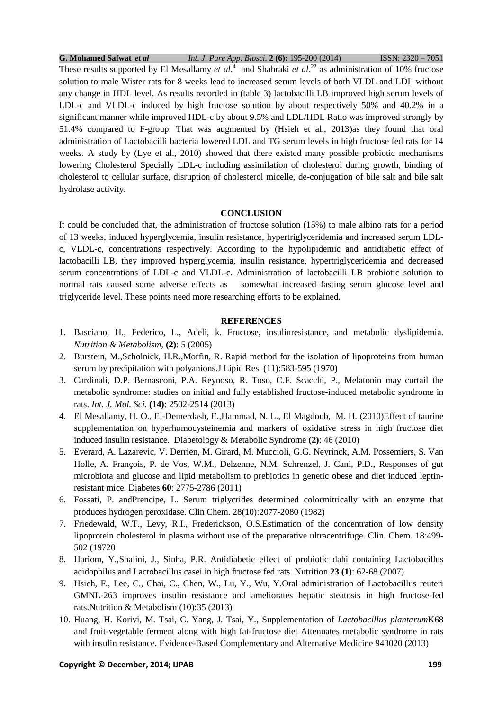**G. Mohamed Safwat** *et al Int. J. Pure App. Biosci.* **2 (6):** 195-200 (2014) ISSN: 2320 – 7051 These results supported by El Mesallamy *et al.*<sup>4</sup> and Shahraki *et al.*<sup>22</sup> as administration of 10% fructose solution to male Wister rats for 8 weeks lead to increased serum levels of both VLDL and LDL without any change in HDL level. As results recorded in (table 3) lactobacilli LB improved high serum levels of LDL-c and VLDL-c induced by high fructose solution by about respectively 50% and 40.2% in a significant manner while improved HDL-c by about 9.5% and LDL/HDL Ratio was improved strongly by 51.4% compared to F-group. That was augmented by (Hsieh et al., 2013)as they found that oral administration of Lactobacilli bacteria lowered LDL and TG serum levels in high fructose fed rats for 14 weeks. A study by (Lye et al., 2010) showed that there existed many possible probiotic mechanisms lowering Cholesterol Specially LDL-c including assimilation of cholesterol during growth, binding of cholesterol to cellular surface, disruption of cholesterol micelle, de-conjugation of bile salt and bile salt hydrolase activity.

### **CONCLUSION**

It could be concluded that, the administration of fructose solution (15%) to male albino rats for a period of 13 weeks, induced hyperglycemia, insulin resistance, hypertriglyceridemia and increased serum LDLc, VLDL-c, concentrations respectively. According to the hypolipidemic and antidiabetic effect of lactobacilli LB, they improved hyperglycemia, insulin resistance, hypertriglyceridemia and decreased serum concentrations of LDL-c and VLDL-c. Administration of lactobacilli LB probiotic solution to normal rats caused some adverse effects as somewhat increased fasting serum glucose level and triglyceride level. These points need more researching efforts to be explained.

# **REFERENCES**

- 1. Basciano, H., Federico, L., Adeli, k. Fructose, insulinresistance, and metabolic dyslipidemia. *Nutrition & Metabolism,* **(2)**: 5 (2005)
- 2. Burstein, M.,Scholnick, H.R.,Morfin, R. Rapid method for the isolation of lipoproteins from human serum by precipitation with polyanions.J Lipid Res. (11):583-595 (1970)
- 3. Cardinali, D.P. Bernasconi, P.A. Reynoso, R. Toso, C.F. Scacchi, P., Melatonin may curtail the metabolic syndrome: studies on initial and fully established fructose-induced metabolic syndrome in rats. *Int. J. Mol. Sci.* **(14)**: 2502-2514 (2013)
- 4. El Mesallamy, H. O., El-Demerdash, E.,Hammad, N. L., El Magdoub, M. H. (2010)Effect of taurine supplementation on hyperhomocysteinemia and markers of oxidative stress in high fructose diet induced insulin resistance. Diabetology & Metabolic Syndrome **(2)**: 46 (2010)
- 5. Everard, A. Lazarevic, V. Derrien, M. Girard, M. Muccioli, G.G. Neyrinck, A.M. Possemiers, S. Van Holle, A. François, P. de Vos, W.M., Delzenne, N.M. Schrenzel, J. Cani, P.D., Responses of gut microbiota and glucose and lipid metabolism to prebiotics in genetic obese and diet induced leptinresistant mice. Diabetes **60**: 2775-2786 (2011)
- 6. Fossati, P. andPrencipe, L. Serum triglycrides determined colormitrically with an enzyme that produces hydrogen peroxidase. Clin Chem. 28(10):2077-2080 (1982)
- 7. Friedewald, W.T., Levy, R.I., Frederickson, O.S.Estimation of the concentration of low density lipoprotein cholesterol in plasma without use of the preparative ultracentrifuge. Clin. Chem. 18:499- 502 (19720
- 8. Hariom, Y.,Shalini, J., Sinha, P.R. Antidiabetic effect of probiotic dahi containing Lactobacillus acidophilus and Lactobacillus casei in high fructose fed rats. Nutrition **23 (1)**: 62-68 (2007)
- 9. Hsieh, F., Lee, C., Chai, C., Chen, W., Lu, Y., Wu, Y.Oral administration of Lactobacillus reuteri GMNL-263 improves insulin resistance and ameliorates hepatic steatosis in high fructose-fed rats.Nutrition & Metabolism (10):35 (2013)
- 10. Huang, H. Korivi, M. Tsai, C. Yang, J. Tsai, Y., Supplementation of *Lactobacillus plantarum*K68 and fruit-vegetable ferment along with high fat-fructose diet Attenuates metabolic syndrome in rats with insulin resistance. Evidence-Based Complementary and Alternative Medicine 943020 (2013)

### **Copyright © December, 2014; IJPAB 199**